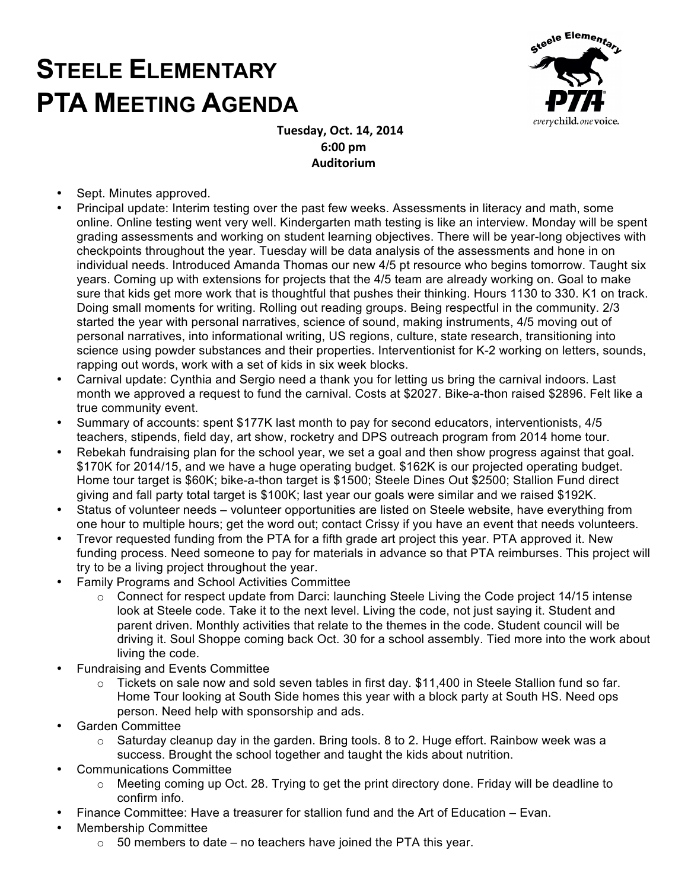## **STEELE ELEMENTARY PTA MEETING AGENDA**



 **Tuesday, Oct. 14, 2014 6:00 pm Auditorium**

- Sept. Minutes approved.
- Principal update: Interim testing over the past few weeks. Assessments in literacy and math, some online. Online testing went very well. Kindergarten math testing is like an interview. Monday will be spent grading assessments and working on student learning objectives. There will be year-long objectives with checkpoints throughout the year. Tuesday will be data analysis of the assessments and hone in on individual needs. Introduced Amanda Thomas our new 4/5 pt resource who begins tomorrow. Taught six years. Coming up with extensions for projects that the 4/5 team are already working on. Goal to make sure that kids get more work that is thoughtful that pushes their thinking. Hours 1130 to 330. K1 on track. Doing small moments for writing. Rolling out reading groups. Being respectful in the community. 2/3 started the year with personal narratives, science of sound, making instruments, 4/5 moving out of personal narratives, into informational writing, US regions, culture, state research, transitioning into science using powder substances and their properties. Interventionist for K-2 working on letters, sounds, rapping out words, work with a set of kids in six week blocks.
- Carnival update: Cynthia and Sergio need a thank you for letting us bring the carnival indoors. Last month we approved a request to fund the carnival. Costs at \$2027. Bike-a-thon raised \$2896. Felt like a true community event.
- Summary of accounts: spent \$177K last month to pay for second educators, interventionists, 4/5 teachers, stipends, field day, art show, rocketry and DPS outreach program from 2014 home tour.
- Rebekah fundraising plan for the school year, we set a goal and then show progress against that goal. \$170K for 2014/15, and we have a huge operating budget. \$162K is our projected operating budget. Home tour target is \$60K; bike-a-thon target is \$1500; Steele Dines Out \$2500; Stallion Fund direct giving and fall party total target is \$100K; last year our goals were similar and we raised \$192K.
- Status of volunteer needs volunteer opportunities are listed on Steele website, have everything from one hour to multiple hours; get the word out; contact Crissy if you have an event that needs volunteers.
- Trevor requested funding from the PTA for a fifth grade art project this year. PTA approved it. New funding process. Need someone to pay for materials in advance so that PTA reimburses. This project will try to be a living project throughout the year.
- Family Programs and School Activities Committee
	- $\circ$  Connect for respect update from Darci: launching Steele Living the Code project 14/15 intense look at Steele code. Take it to the next level. Living the code, not just saying it. Student and parent driven. Monthly activities that relate to the themes in the code. Student council will be driving it. Soul Shoppe coming back Oct. 30 for a school assembly. Tied more into the work about living the code.
- Fundraising and Events Committee
	- $\circ$  Tickets on sale now and sold seven tables in first day. \$11,400 in Steele Stallion fund so far. Home Tour looking at South Side homes this year with a block party at South HS. Need ops person. Need help with sponsorship and ads.
- Garden Committee
	- $\circ$  Saturday cleanup day in the garden. Bring tools. 8 to 2. Huge effort. Rainbow week was a success. Brought the school together and taught the kids about nutrition.
- Communications Committee
	- o Meeting coming up Oct. 28. Trying to get the print directory done. Friday will be deadline to confirm info.
	- Finance Committee: Have a treasurer for stallion fund and the Art of Education Evan.
- Membership Committee
	- $\circ$  50 members to date no teachers have joined the PTA this year.